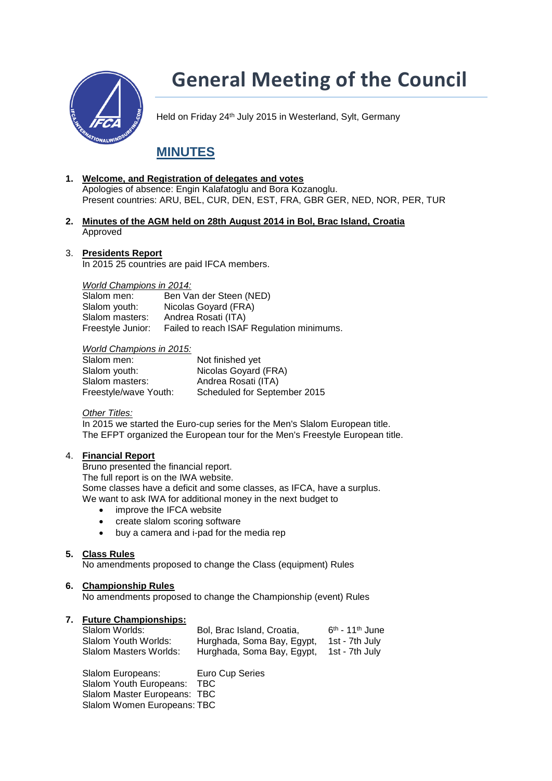

# **General Meeting of the Council**

Held on Friday 24<sup>th</sup> July 2015 in Westerland, Sylt, Germany

# **MINUTES**

- **1. Welcome, and Registration of delegates and votes** Apologies of absence: Engin Kalafatoglu and Bora Kozanoglu. Present countries: ARU, BEL, CUR, DEN, EST, FRA, GBR GER, NED, NOR, PER, TUR
- **2. [Minutes of the AGM](http://www.internationalwindsurfing.com/userfiles/documents/IFCA_Minutes_2014_AGM.pdf) held on 28th August 2014 in Bol, Brac Island, Croatia** Approved
- 3. **Presidents Report**

In 2015 25 countries are paid IFCA members.

*World Champions in 2014:*  Ben Van der Steen (NED) Slalom youth: Nicolas Goyard (FRA) Slalom masters: Andrea Rosati (ITA) Freestyle Junior: Failed to reach ISAF Regulation minimums.

### *World Champions in 2015:*

| Slalom men:           | Not finished yet             |
|-----------------------|------------------------------|
| Slalom youth:         | Nicolas Goyard (FRA)         |
| Slalom masters:       | Andrea Rosati (ITA)          |
| Freestyle/wave Youth: | Scheduled for September 2015 |

# *Other Titles:*

In 2015 we started the Euro-cup series for the Men's Slalom European title. The EFPT organized the European tour for the Men's Freestyle European title.

# 4. **Financial Report**

Bruno presented the financial report.

The full report is on the IWA website.

Some classes have a deficit and some classes, as IFCA, have a surplus. We want to ask IWA for additional money in the next budget to

- improve the IFCA website
- create slalom scoring software
- buy a camera and i-pad for the media rep

# **5. Class Rules**

No amendments proposed to change the Class (equipment) Rules

# **6. Championship Rules**

No amendments proposed to change the Championship (event) Rules

# **7. Future Championships:**

| Slalom Worlds:         | Bol, Brac Island, Croatia, | $6th$ - 11 <sup>th</sup> June |
|------------------------|----------------------------|-------------------------------|
| Slalom Youth Worlds:   | Hurghada, Soma Bay, Egypt, | 1st - 7th July                |
| Slalom Masters Worlds: | Hurghada, Soma Bay, Egypt, | 1st - 7th July                |

Slalom Europeans: Euro Cup Series Slalom Youth Europeans: TBC Slalom Master Europeans: TBC Slalom Women Europeans: TBC